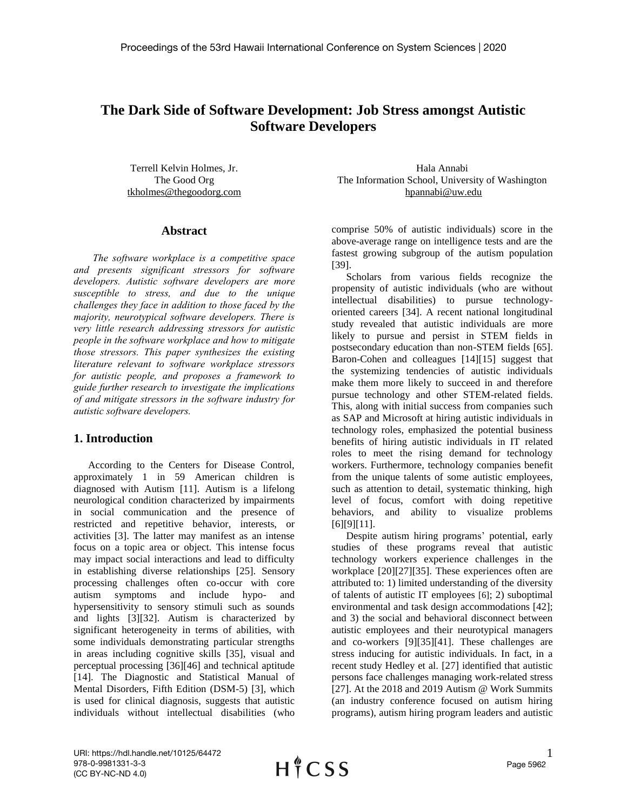# **The Dark Side of Software Development: Job Stress amongst Autistic Software Developers**

Terrell Kelvin Holmes, Jr. The Good Org tkholmes@thegoodorg.com

#### **Abstract**

 *The software workplace is a competitive space and presents significant stressors for software developers. Autistic software developers are more susceptible to stress, and due to the unique challenges they face in addition to those faced by the majority, neurotypical software developers. There is very little research addressing stressors for autistic people in the software workplace and how to mitigate those stressors. This paper synthesizes the existing literature relevant to software workplace stressors for autistic people, and proposes a framework to guide further research to investigate the implications of and mitigate stressors in the software industry for autistic software developers.*

#### **1. Introduction**

According to the Centers for Disease Control, approximately 1 in 59 American children is diagnosed with Autism [11]. Autism is a lifelong neurological condition characterized by impairments in social communication and the presence of restricted and repetitive behavior, interests, or activities [3]. The latter may manifest as an intense focus on a topic area or object. This intense focus may impact social interactions and lead to difficulty in establishing diverse relationships [25]. Sensory processing challenges often co-occur with core autism symptoms and include hypo- and hypersensitivity to sensory stimuli such as sounds and lights [3][32]. Autism is characterized by significant heterogeneity in terms of abilities, with some individuals demonstrating particular strengths in areas including cognitive skills [35], visual and perceptual processing [36][46] and technical aptitude [14]. The Diagnostic and Statistical Manual of Mental Disorders, Fifth Edition (DSM-5) [3], which is used for clinical diagnosis, suggests that autistic individuals without intellectual disabilities (who

Hala Annabi The Information School, University of Washington hpannabi@uw.edu

comprise 50% of autistic individuals) score in the above-average range on intelligence tests and are the fastest growing subgroup of the autism population [39].

Scholars from various fields recognize the propensity of autistic individuals (who are without intellectual disabilities) to pursue technologyoriented careers [34]. A recent national longitudinal study revealed that autistic individuals are more likely to pursue and persist in STEM fields in postsecondary education than non-STEM fields [65]. Baron-Cohen and colleagues [14][15] suggest that the systemizing tendencies of autistic individuals make them more likely to succeed in and therefore pursue technology and other STEM-related fields. This, along with initial success from companies such as SAP and Microsoft at hiring autistic individuals in technology roles, emphasized the potential business benefits of hiring autistic individuals in IT related roles to meet the rising demand for technology workers. Furthermore, technology companies benefit from the unique talents of some autistic employees, such as attention to detail, systematic thinking, high level of focus, comfort with doing repetitive behaviors, and ability to visualize problems [6][9][11].

Despite autism hiring programs' potential, early studies of these programs reveal that autistic technology workers experience challenges in the workplace [20][27][35]. These experiences often are attributed to: 1) limited understanding of the diversity of talents of autistic IT employees [6]; 2) suboptimal environmental and task design accommodations [42]; and 3) the social and behavioral disconnect between autistic employees and their neurotypical managers and co-workers [9][35][41]. These challenges are stress inducing for autistic individuals. In fact, in a recent study Hedley et al. [27] identified that autistic persons face challenges managing work-related stress [27]. At the 2018 and 2019 Autism @ Work Summits (an industry conference focused on autism hiring programs), autism hiring program leaders and autistic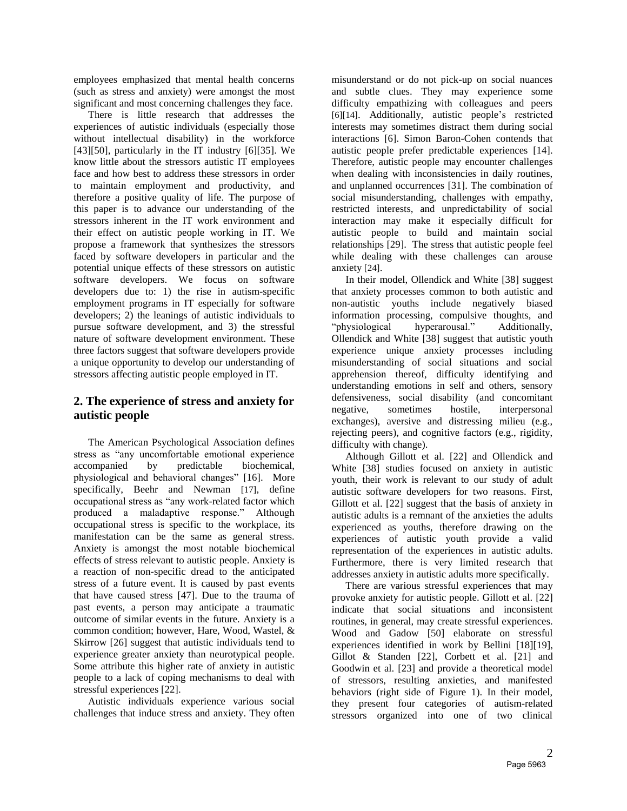employees emphasized that mental health concerns (such as stress and anxiety) were amongst the most significant and most concerning challenges they face.

There is little research that addresses the experiences of autistic individuals (especially those without intellectual disability) in the workforce [43][50], particularly in the IT industry [6][35]. We know little about the stressors autistic IT employees face and how best to address these stressors in order to maintain employment and productivity, and therefore a positive quality of life. The purpose of this paper is to advance our understanding of the stressors inherent in the IT work environment and their effect on autistic people working in IT. We propose a framework that synthesizes the stressors faced by software developers in particular and the potential unique effects of these stressors on autistic software developers. We focus on software developers due to: 1) the rise in autism-specific employment programs in IT especially for software developers; 2) the leanings of autistic individuals to pursue software development, and 3) the stressful nature of software development environment. These three factors suggest that software developers provide a unique opportunity to develop our understanding of stressors affecting autistic people employed in IT.

# **2. The experience of stress and anxiety for autistic people**

The American Psychological Association defines stress as "any uncomfortable emotional experience accompanied by predictable biochemical, physiological and behavioral changes" [16]. More specifically, Beehr and Newman [17], define occupational stress as "any work-related factor which produced a maladaptive response." Although occupational stress is specific to the workplace, its manifestation can be the same as general stress. Anxiety is amongst the most notable biochemical effects of stress relevant to autistic people. Anxiety is a reaction of non-specific dread to the anticipated stress of a future event. It is caused by past events that have caused stress [47]. Due to the trauma of past events, a person may anticipate a traumatic outcome of similar events in the future. Anxiety is a common condition; however, Hare, Wood, Wastel, & Skirrow [26] suggest that autistic individuals tend to experience greater anxiety than neurotypical people. Some attribute this higher rate of anxiety in autistic people to a lack of coping mechanisms to deal with stressful experiences [22].

Autistic individuals experience various social challenges that induce stress and anxiety. They often misunderstand or do not pick-up on social nuances and subtle clues. They may experience some difficulty empathizing with colleagues and peers [6][14]. Additionally, autistic people's restricted interests may sometimes distract them during social interactions [6]. Simon Baron-Cohen contends that autistic people prefer predictable experiences [14]. Therefore, autistic people may encounter challenges when dealing with inconsistencies in daily routines, and unplanned occurrences [31]. The combination of social misunderstanding, challenges with empathy, restricted interests, and unpredictability of social interaction may make it especially difficult for autistic people to build and maintain social relationships [29]. The stress that autistic people feel while dealing with these challenges can arouse anxiety [24].

In their model, Ollendick and White [38] suggest that anxiety processes common to both autistic and non-autistic youths include negatively biased information processing, compulsive thoughts, and "physiological hyperarousal." Additionally, Ollendick and White [38] suggest that autistic youth experience unique anxiety processes including misunderstanding of social situations and social apprehension thereof, difficulty identifying and understanding emotions in self and others, sensory defensiveness, social disability (and concomitant negative, sometimes hostile, interpersonal exchanges), aversive and distressing milieu (e.g., rejecting peers), and cognitive factors (e.g., rigidity, difficulty with change).

Although Gillott et al. [22] and Ollendick and White [38] studies focused on anxiety in autistic youth, their work is relevant to our study of adult autistic software developers for two reasons. First, Gillott et al. [22] suggest that the basis of anxiety in autistic adults is a remnant of the anxieties the adults experienced as youths, therefore drawing on the experiences of autistic youth provide a valid representation of the experiences in autistic adults. Furthermore, there is very limited research that addresses anxiety in autistic adults more specifically.

There are various stressful experiences that may provoke anxiety for autistic people. Gillott et al. [22] indicate that social situations and inconsistent routines, in general, may create stressful experiences. Wood and Gadow [50] elaborate on stressful experiences identified in work by Bellini [18][19], Gillot & Standen [22], Corbett et al. [21] and Goodwin et al. [23] and provide a theoretical model of stressors, resulting anxieties, and manifested behaviors (right side of Figure 1). In their model, they present four categories of autism-related stressors organized into one of two clinical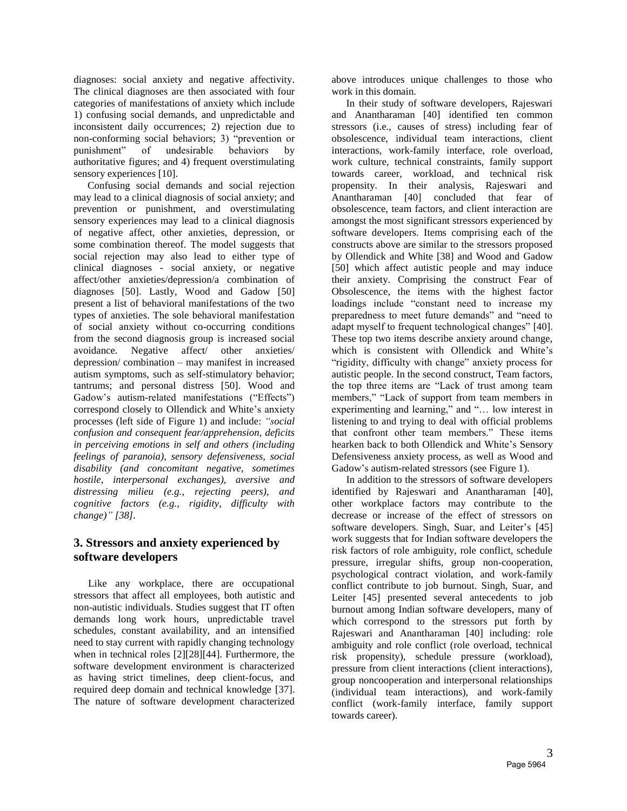diagnoses: social anxiety and negative affectivity. The clinical diagnoses are then associated with four categories of manifestations of anxiety which include 1) confusing social demands, and unpredictable and inconsistent daily occurrences; 2) rejection due to non-conforming social behaviors; 3) "prevention or punishment" of undesirable behaviors by authoritative figures; and 4) frequent overstimulating sensory experiences [10].

Confusing social demands and social rejection may lead to a clinical diagnosis of social anxiety; and prevention or punishment, and overstimulating sensory experiences may lead to a clinical diagnosis of negative affect, other anxieties, depression, or some combination thereof. The model suggests that social rejection may also lead to either type of clinical diagnoses - social anxiety, or negative affect/other anxieties/depression/a combination of diagnoses [50]. Lastly, Wood and Gadow [50] present a list of behavioral manifestations of the two types of anxieties. The sole behavioral manifestation of social anxiety without co-occurring conditions from the second diagnosis group is increased social avoidance. Negative affect/ other anxieties/ depression/ combination – may manifest in increased autism symptoms, such as self-stimulatory behavior; tantrums; and personal distress [50]. Wood and Gadow's autism-related manifestations ("Effects") correspond closely to Ollendick and White's anxiety processes (left side of Figure 1) and include: *"social confusion and consequent fear/apprehension, deficits in perceiving emotions in self and others (including feelings of paranoia), sensory defensiveness, social disability (and concomitant negative, sometimes hostile, interpersonal exchanges), aversive and distressing milieu (e.g., rejecting peers), and cognitive factors (e.g., rigidity, difficulty with change)" [38].*

## **3. Stressors and anxiety experienced by software developers**

Like any workplace, there are occupational stressors that affect all employees, both autistic and non-autistic individuals. Studies suggest that IT often demands long work hours, unpredictable travel schedules, constant availability, and an intensified need to stay current with rapidly changing technology when in technical roles [2][28][44]. Furthermore, the software development environment is characterized as having strict timelines, deep client-focus, and required deep domain and technical knowledge [37]. The nature of software development characterized above introduces unique challenges to those who work in this domain.

In their study of software developers, Rajeswari and Anantharaman [40] identified ten common stressors (i.e., causes of stress) including fear of obsolescence, individual team interactions, client interactions, work-family interface, role overload, work culture, technical constraints, family support towards career, workload, and technical risk propensity. In their analysis, Rajeswari and Anantharaman [40] concluded that fear of obsolescence, team factors, and client interaction are amongst the most significant stressors experienced by software developers. Items comprising each of the constructs above are similar to the stressors proposed by Ollendick and White [38] and Wood and Gadow [50] which affect autistic people and may induce their anxiety. Comprising the construct Fear of Obsolescence, the items with the highest factor loadings include "constant need to increase my preparedness to meet future demands" and "need to adapt myself to frequent technological changes" [40]. These top two items describe anxiety around change, which is consistent with Ollendick and White's "rigidity, difficulty with change" anxiety process for autistic people. In the second construct, Team factors, the top three items are "Lack of trust among team members," "Lack of support from team members in experimenting and learning," and "… low interest in listening to and trying to deal with official problems that confront other team members." These items hearken back to both Ollendick and White's Sensory Defensiveness anxiety process, as well as Wood and Gadow's autism-related stressors (see Figure 1).

In addition to the stressors of software developers identified by Rajeswari and Anantharaman [40], other workplace factors may contribute to the decrease or increase of the effect of stressors on software developers. Singh, Suar, and Leiter's [45] work suggests that for Indian software developers the risk factors of role ambiguity, role conflict, schedule pressure, irregular shifts, group non-cooperation, psychological contract violation, and work-family conflict contribute to job burnout. Singh, Suar, and Leiter [45] presented several antecedents to job burnout among Indian software developers, many of which correspond to the stressors put forth by Rajeswari and Anantharaman [40] including: role ambiguity and role conflict (role overload, technical risk propensity), schedule pressure (workload), pressure from client interactions (client interactions), group noncooperation and interpersonal relationships (individual team interactions), and work-family conflict (work-family interface, family support towards career).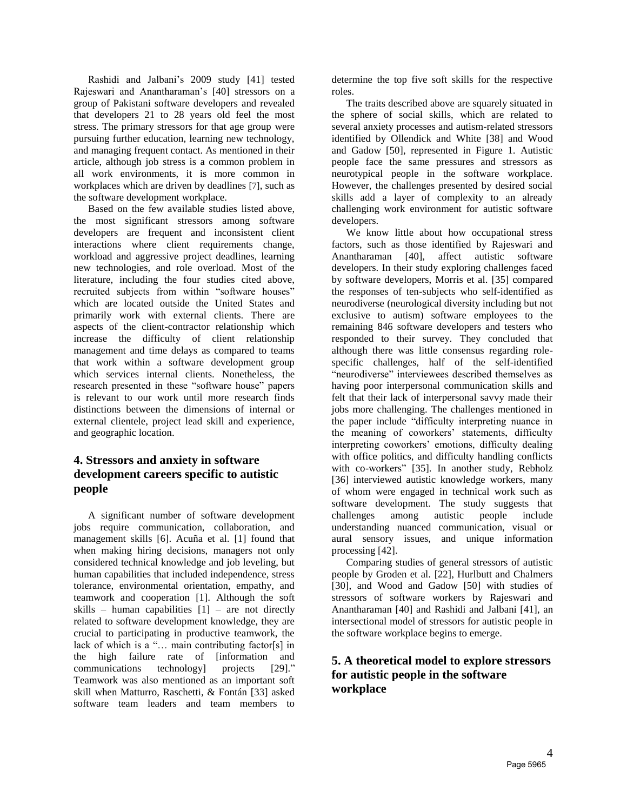Rashidi and Jalbani's 2009 study [41] tested Rajeswari and Anantharaman's [40] stressors on a group of Pakistani software developers and revealed that developers 21 to 28 years old feel the most stress. The primary stressors for that age group were pursuing further education, learning new technology, and managing frequent contact. As mentioned in their article, although job stress is a common problem in all work environments, it is more common in workplaces which are driven by deadlines [7], such as the software development workplace.

Based on the few available studies listed above, the most significant stressors among software developers are frequent and inconsistent client interactions where client requirements change, workload and aggressive project deadlines, learning new technologies, and role overload. Most of the literature, including the four studies cited above, recruited subjects from within "software houses" which are located outside the United States and primarily work with external clients. There are aspects of the client-contractor relationship which increase the difficulty of client relationship management and time delays as compared to teams that work within a software development group which services internal clients. Nonetheless, the research presented in these "software house" papers is relevant to our work until more research finds distinctions between the dimensions of internal or external clientele, project lead skill and experience, and geographic location.

#### **4. Stressors and anxiety in software development careers specific to autistic people**

A significant number of software development jobs require communication, collaboration, and management skills [6]. Acuña et al. [1] found that when making hiring decisions, managers not only considered technical knowledge and job leveling, but human capabilities that included independence, stress tolerance, environmental orientation, empathy, and teamwork and cooperation [1]. Although the soft skills – human capabilities  $[1]$  – are not directly related to software development knowledge, they are crucial to participating in productive teamwork, the lack of which is a "… main contributing factor[s] in the high failure rate of [information and communications technology] projects [29]." Teamwork was also mentioned as an important soft skill when Matturro, Raschetti, & Fontán [33] asked software team leaders and team members to

determine the top five soft skills for the respective roles.

The traits described above are squarely situated in the sphere of social skills, which are related to several anxiety processes and autism-related stressors identified by Ollendick and White [38] and Wood and Gadow [50], represented in Figure 1. Autistic people face the same pressures and stressors as neurotypical people in the software workplace. However, the challenges presented by desired social skills add a layer of complexity to an already challenging work environment for autistic software developers.

We know little about how occupational stress factors, such as those identified by Rajeswari and Anantharaman [40], affect autistic software developers. In their study exploring challenges faced by software developers, Morris et al. [35] compared the responses of ten-subjects who self-identified as neurodiverse (neurological diversity including but not exclusive to autism) software employees to the remaining 846 software developers and testers who responded to their survey. They concluded that although there was little consensus regarding rolespecific challenges, half of the self-identified "neurodiverse" interviewees described themselves as having poor interpersonal communication skills and felt that their lack of interpersonal savvy made their jobs more challenging. The challenges mentioned in the paper include "difficulty interpreting nuance in the meaning of coworkers' statements, difficulty interpreting coworkers' emotions, difficulty dealing with office politics, and difficulty handling conflicts with co-workers" [35]. In another study, Rebholz [36] interviewed autistic knowledge workers, many of whom were engaged in technical work such as software development. The study suggests that challenges among autistic people include understanding nuanced communication, visual or aural sensory issues, and unique information processing [42].

Comparing studies of general stressors of autistic people by Groden et al. [22], Hurlbutt and Chalmers [30], and Wood and Gadow [50] with studies of stressors of software workers by Rajeswari and Anantharaman [40] and Rashidi and Jalbani [41], an intersectional model of stressors for autistic people in the software workplace begins to emerge.

## **5. A theoretical model to explore stressors for autistic people in the software workplace**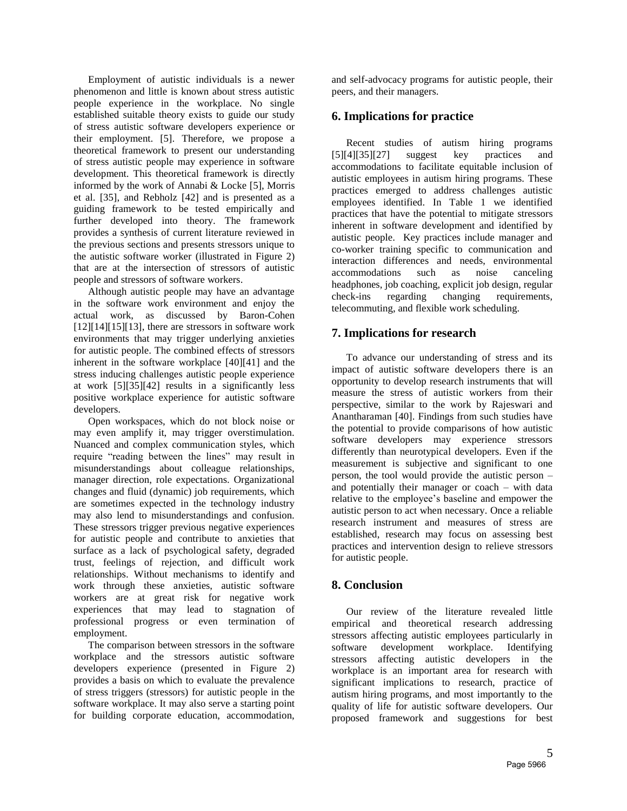Employment of autistic individuals is a newer phenomenon and little is known about stress autistic people experience in the workplace. No single established suitable theory exists to guide our study of stress autistic software developers experience or their employment. [5]. Therefore, we propose a theoretical framework to present our understanding of stress autistic people may experience in software development. This theoretical framework is directly informed by the work of Annabi & Locke [5], Morris et al. [35], and Rebholz [42] and is presented as a guiding framework to be tested empirically and further developed into theory. The framework provides a synthesis of current literature reviewed in the previous sections and presents stressors unique to the autistic software worker (illustrated in Figure 2) that are at the intersection of stressors of autistic people and stressors of software workers.

Although autistic people may have an advantage in the software work environment and enjoy the actual work, as discussed by Baron-Cohen  $[12][14][15][13]$ , there are stressors in software work environments that may trigger underlying anxieties for autistic people. The combined effects of stressors inherent in the software workplace [40][41] and the stress inducing challenges autistic people experience at work [5][35][42] results in a significantly less positive workplace experience for autistic software developers.

Open workspaces, which do not block noise or may even amplify it, may trigger overstimulation. Nuanced and complex communication styles, which require "reading between the lines" may result in misunderstandings about colleague relationships, manager direction, role expectations. Organizational changes and fluid (dynamic) job requirements, which are sometimes expected in the technology industry may also lend to misunderstandings and confusion. These stressors trigger previous negative experiences for autistic people and contribute to anxieties that surface as a lack of psychological safety, degraded trust, feelings of rejection, and difficult work relationships. Without mechanisms to identify and work through these anxieties, autistic software workers are at great risk for negative work experiences that may lead to stagnation of professional progress or even termination of employment.

The comparison between stressors in the software workplace and the stressors autistic software developers experience (presented in Figure 2) provides a basis on which to evaluate the prevalence of stress triggers (stressors) for autistic people in the software workplace. It may also serve a starting point for building corporate education, accommodation,

and self-advocacy programs for autistic people, their peers, and their managers.

#### **6. Implications for practice**

Recent studies of autism hiring programs [5][4][35][27] suggest key practices and accommodations to facilitate equitable inclusion of autistic employees in autism hiring programs. These practices emerged to address challenges autistic employees identified. In Table 1 we identified practices that have the potential to mitigate stressors inherent in software development and identified by autistic people. Key practices include manager and co-worker training specific to communication and interaction differences and needs, environmental accommodations such as noise canceling headphones, job coaching, explicit job design, regular check-ins regarding changing requirements, telecommuting, and flexible work scheduling.

## **7. Implications for research**

To advance our understanding of stress and its impact of autistic software developers there is an opportunity to develop research instruments that will measure the stress of autistic workers from their perspective, similar to the work by Rajeswari and Anantharaman [40]. Findings from such studies have the potential to provide comparisons of how autistic software developers may experience stressors differently than neurotypical developers. Even if the measurement is subjective and significant to one person, the tool would provide the autistic person – and potentially their manager or coach – with data relative to the employee's baseline and empower the autistic person to act when necessary. Once a reliable research instrument and measures of stress are established, research may focus on assessing best practices and intervention design to relieve stressors for autistic people.

# **8. Conclusion**

Our review of the literature revealed little empirical and theoretical research addressing stressors affecting autistic employees particularly in software development workplace. Identifying stressors affecting autistic developers in the workplace is an important area for research with significant implications to research, practice of autism hiring programs, and most importantly to the quality of life for autistic software developers. Our proposed framework and suggestions for best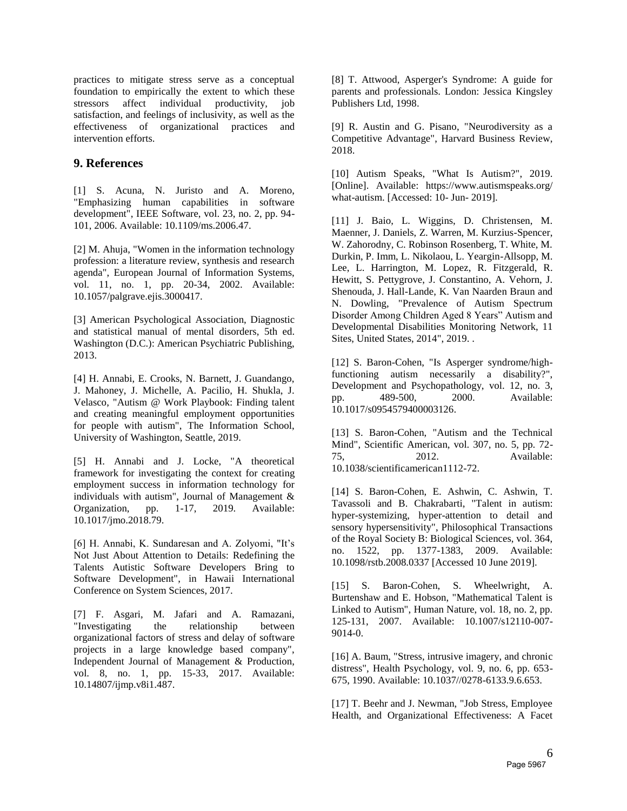practices to mitigate stress serve as a conceptual foundation to empirically the extent to which these stressors affect individual productivity, job satisfaction, and feelings of inclusivity, as well as the effectiveness of organizational practices and intervention efforts.

#### **9. References**

[1] S. Acuna, N. Juristo and A. Moreno, "Emphasizing human capabilities in software development", IEEE Software, vol. 23, no. 2, pp. 94- 101, 2006. Available: 10.1109/ms.2006.47.

[2] M. Ahuja, "Women in the information technology profession: a literature review, synthesis and research agenda", European Journal of Information Systems, vol. 11, no. 1, pp. 20-34, 2002. Available: 10.1057/palgrave.ejis.3000417.

[3] American Psychological Association, Diagnostic and statistical manual of mental disorders, 5th ed. Washington (D.C.): American Psychiatric Publishing, 2013.

[4] H. Annabi, E. Crooks, N. Barnett, J. Guandango, J. Mahoney, J. Michelle, A. Pacilio, H. Shukla, J. Velasco, "Autism @ Work Playbook: Finding talent and creating meaningful employment opportunities for people with autism", The Information School, University of Washington, Seattle, 2019.

[5] H. Annabi and J. Locke, "A theoretical framework for investigating the context for creating employment success in information technology for individuals with autism", Journal of Management & Organization, pp. 1-17, 2019. Available: 10.1017/jmo.2018.79.

[6] H. Annabi, K. Sundaresan and A. Zolyomi, "It's Not Just About Attention to Details: Redefining the Talents Autistic Software Developers Bring to Software Development", in Hawaii International Conference on System Sciences, 2017.

[7] F. Asgari, M. Jafari and A. Ramazani, "Investigating the relationship between organizational factors of stress and delay of software projects in a large knowledge based company", Independent Journal of Management & Production, vol. 8, no. 1, pp. 15-33, 2017. Available: 10.14807/ijmp.v8i1.487.

[8] T. Attwood, Asperger's Syndrome: A guide for parents and professionals. London: Jessica Kingsley Publishers Ltd, 1998.

[9] R. Austin and G. Pisano, "Neurodiversity as a Competitive Advantage", Harvard Business Review, 2018.

[10] Autism Speaks, "What Is Autism?", 2019. [Online]. Available: https://www.autismspeaks.org/ what-autism. [Accessed: 10- Jun- 2019].

[11] J. Baio, L. Wiggins, D. Christensen, M. Maenner, J. Daniels, Z. Warren, M. Kurzius-Spencer, W. Zahorodny, C. Robinson Rosenberg, T. White, M. Durkin, P. Imm, L. Nikolaou, L. Yeargin-Allsopp, M. Lee, L. Harrington, M. Lopez, R. Fitzgerald, R. Hewitt, S. Pettygrove, J. Constantino, A. Vehorn, J. Shenouda, J. Hall-Lande, K. Van Naarden Braun and N. Dowling, "Prevalence of Autism Spectrum Disorder Among Children Aged 8 Years" Autism and Developmental Disabilities Monitoring Network, 11 Sites, United States, 2014", 2019. .

[12] S. Baron-Cohen, "Is Asperger syndrome/highfunctioning autism necessarily a disability?", Development and Psychopathology, vol. 12, no. 3, pp. 489-500, 2000. Available: 10.1017/s0954579400003126.

[13] S. Baron-Cohen, "Autism and the Technical Mind", Scientific American, vol. 307, no. 5, pp. 72- 75, 2012. Available: 10.1038/scientificamerican1112-72.

[14] S. Baron-Cohen, E. Ashwin, C. Ashwin, T. Tavassoli and B. Chakrabarti, "Talent in autism: hyper-systemizing, hyper-attention to detail and sensory hypersensitivity", Philosophical Transactions of the Royal Society B: Biological Sciences, vol. 364, no. 1522, pp. 1377-1383, 2009. Available: 10.1098/rstb.2008.0337 [Accessed 10 June 2019].

[15] S. Baron-Cohen, S. Wheelwright, A. Burtenshaw and E. Hobson, "Mathematical Talent is Linked to Autism", Human Nature, vol. 18, no. 2, pp. 125-131, 2007. Available: 10.1007/s12110-007- 9014-0.

[16] A. Baum, "Stress, intrusive imagery, and chronic distress", Health Psychology, vol. 9, no. 6, pp. 653- 675, 1990. Available: 10.1037//0278-6133.9.6.653.

[17] T. Beehr and J. Newman, "Job Stress, Employee Health, and Organizational Effectiveness: A Facet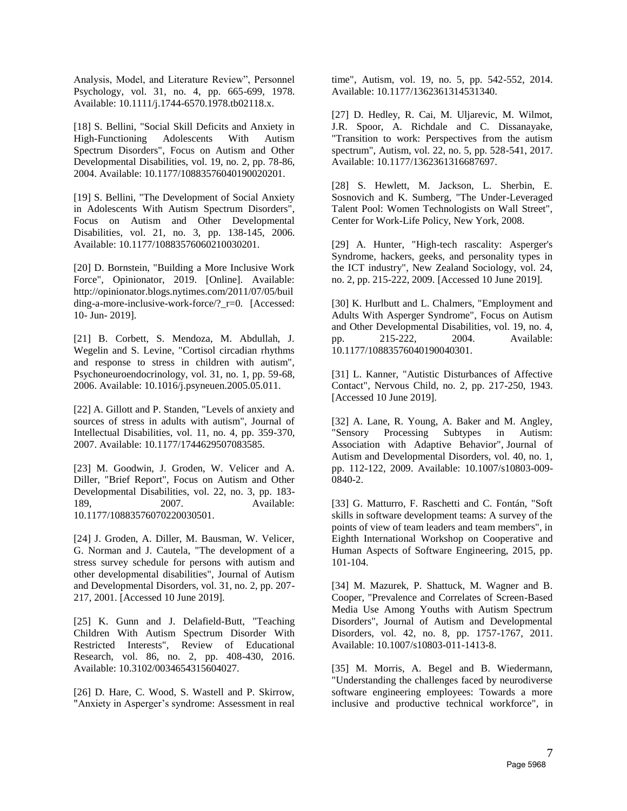Analysis, Model, and Literature Review", Personnel Psychology, vol. 31, no. 4, pp. 665-699, 1978. Available: 10.1111/j.1744-6570.1978.tb02118.x.

[18] S. Bellini, "Social Skill Deficits and Anxiety in High-Functioning Adolescents With Autism Spectrum Disorders", Focus on Autism and Other Developmental Disabilities, vol. 19, no. 2, pp. 78-86, 2004. Available: 10.1177/10883576040190020201.

[19] S. Bellini, "The Development of Social Anxiety in Adolescents With Autism Spectrum Disorders", Focus on Autism and Other Developmental Disabilities, vol. 21, no. 3, pp. 138-145, 2006. Available: 10.1177/10883576060210030201.

[20] D. Bornstein, "Building a More Inclusive Work Force", Opinionator, 2019. [Online]. Available: http://opinionator.blogs.nytimes.com/2011/07/05/buil ding-a-more-inclusive-work-force/? r=0. [Accessed: 10- Jun- 2019].

[21] B. Corbett, S. Mendoza, M. Abdullah, J. Wegelin and S. Levine, "Cortisol circadian rhythms and response to stress in children with autism", Psychoneuroendocrinology, vol. 31, no. 1, pp. 59-68, 2006. Available: 10.1016/j.psyneuen.2005.05.011.

[22] A. Gillott and P. Standen, "Levels of anxiety and sources of stress in adults with autism", Journal of Intellectual Disabilities, vol. 11, no. 4, pp. 359-370, 2007. Available: 10.1177/1744629507083585.

[23] M. Goodwin, J. Groden, W. Velicer and A. Diller, "Brief Report", Focus on Autism and Other Developmental Disabilities, vol. 22, no. 3, pp. 183- 189, 2007. Available: 10.1177/10883576070220030501.

[24] J. Groden, A. Diller, M. Bausman, W. Velicer, G. Norman and J. Cautela, "The development of a stress survey schedule for persons with autism and other developmental disabilities", Journal of Autism and Developmental Disorders, vol. 31, no. 2, pp. 207- 217, 2001. [Accessed 10 June 2019].

[25] K. Gunn and J. Delafield-Butt, "Teaching Children With Autism Spectrum Disorder With Restricted Interests", Review of Educational Research, vol. 86, no. 2, pp. 408-430, 2016. Available: 10.3102/0034654315604027.

[26] D. Hare, C. Wood, S. Wastell and P. Skirrow, "Anxiety in Asperger's syndrome: Assessment in real time", Autism, vol. 19, no. 5, pp. 542-552, 2014. Available: 10.1177/1362361314531340.

[27] D. Hedley, R. Cai, M. Uljarevic, M. Wilmot, J.R. Spoor, A. Richdale and C. Dissanayake, "Transition to work: Perspectives from the autism spectrum", Autism, vol. 22, no. 5, pp. 528-541, 2017. Available: 10.1177/1362361316687697.

[28] S. Hewlett, M. Jackson, L. Sherbin, E. Sosnovich and K. Sumberg, "The Under-Leveraged Talent Pool: Women Technologists on Wall Street", Center for Work-Life Policy, New York, 2008.

[29] A. Hunter, "High-tech rascality: Asperger's Syndrome, hackers, geeks, and personality types in the ICT industry", New Zealand Sociology, vol. 24, no. 2, pp. 215-222, 2009. [Accessed 10 June 2019].

[30] K. Hurlbutt and L. Chalmers, "Employment and Adults With Asperger Syndrome", Focus on Autism and Other Developmental Disabilities, vol. 19, no. 4, pp. 215-222, 2004. Available: 10.1177/10883576040190040301.

[31] L. Kanner, "Autistic Disturbances of Affective Contact", Nervous Child, no. 2, pp. 217-250, 1943. [Accessed 10 June 2019].

[32] A. Lane, R. Young, A. Baker and M. Angley,<br>"Sensory Processing Subtypes in Autism: "Sensory Processing Subtypes in Autism: Association with Adaptive Behavior", Journal of Autism and Developmental Disorders, vol. 40, no. 1, pp. 112-122, 2009. Available: 10.1007/s10803-009- 0840-2.

[33] G. Matturro, F. Raschetti and C. Fontán, "Soft skills in software development teams: A survey of the points of view of team leaders and team members", in Eighth International Workshop on Cooperative and Human Aspects of Software Engineering, 2015, pp. 101-104.

[34] M. Mazurek, P. Shattuck, M. Wagner and B. Cooper, "Prevalence and Correlates of Screen-Based Media Use Among Youths with Autism Spectrum Disorders", Journal of Autism and Developmental Disorders, vol. 42, no. 8, pp. 1757-1767, 2011. Available: 10.1007/s10803-011-1413-8.

[35] M. Morris, A. Begel and B. Wiedermann, "Understanding the challenges faced by neurodiverse software engineering employees: Towards a more inclusive and productive technical workforce", in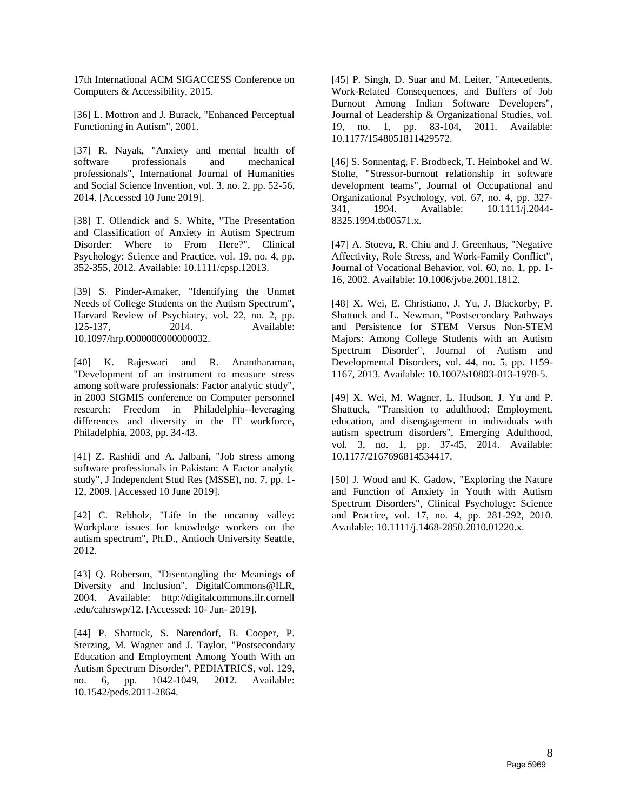17th International ACM SIGACCESS Conference on Computers & Accessibility, 2015.

[36] L. Mottron and J. Burack, "Enhanced Perceptual Functioning in Autism", 2001.

[37] R. Nayak, "Anxiety and mental health of software professionals and mechanical professionals", International Journal of Humanities and Social Science Invention, vol. 3, no. 2, pp. 52-56, 2014. [Accessed 10 June 2019].

[38] T. Ollendick and S. White, "The Presentation and Classification of Anxiety in Autism Spectrum Disorder: Where to From Here?", Clinical Psychology: Science and Practice, vol. 19, no. 4, pp. 352-355, 2012. Available: 10.1111/cpsp.12013.

[39] S. Pinder-Amaker, "Identifying the Unmet Needs of College Students on the Autism Spectrum", Harvard Review of Psychiatry, vol. 22, no. 2, pp. 125-137, 2014. Available: 10.1097/hrp.0000000000000032.

[40] K. Rajeswari and R. Anantharaman, "Development of an instrument to measure stress among software professionals: Factor analytic study", in 2003 SIGMIS conference on Computer personnel research: Freedom in Philadelphia--leveraging differences and diversity in the IT workforce, Philadelphia, 2003, pp. 34-43.

[41] Z. Rashidi and A. Jalbani, "Job stress among software professionals in Pakistan: A Factor analytic study", J Independent Stud Res (MSSE), no. 7, pp. 1- 12, 2009. [Accessed 10 June 2019].

[42] C. Rebholz, "Life in the uncanny valley: Workplace issues for knowledge workers on the autism spectrum", Ph.D., Antioch University Seattle, 2012.

[43] Q. Roberson, "Disentangling the Meanings of Diversity and Inclusion", DigitalCommons@ILR, 2004. Available: http://digitalcommons.ilr.cornell .edu/cahrswp/12. [Accessed: 10- Jun- 2019].

[44] P. Shattuck, S. Narendorf, B. Cooper, P. Sterzing, M. Wagner and J. Taylor, "Postsecondary Education and Employment Among Youth With an Autism Spectrum Disorder", PEDIATRICS, vol. 129, no. 6, pp. 1042-1049, 2012. Available: 10.1542/peds.2011-2864.

[45] P. Singh, D. Suar and M. Leiter, "Antecedents, Work-Related Consequences, and Buffers of Job Burnout Among Indian Software Developers", Journal of Leadership & Organizational Studies, vol. 19, no. 1, pp. 83-104, 2011. Available: 10.1177/1548051811429572.

[46] S. Sonnentag, F. Brodbeck, T. Heinbokel and W. Stolte, "Stressor-burnout relationship in software development teams", Journal of Occupational and Organizational Psychology, vol. 67, no. 4, pp. 327- 341, 1994. Available: 10.1111/j.2044- 8325.1994.tb00571.x.

[47] A. Stoeva, R. Chiu and J. Greenhaus, "Negative Affectivity, Role Stress, and Work-Family Conflict", Journal of Vocational Behavior, vol. 60, no. 1, pp. 1- 16, 2002. Available: 10.1006/jvbe.2001.1812.

[48] X. Wei, E. Christiano, J. Yu, J. Blackorby, P. Shattuck and L. Newman, "Postsecondary Pathways and Persistence for STEM Versus Non-STEM Majors: Among College Students with an Autism Spectrum Disorder", Journal of Autism and Developmental Disorders, vol. 44, no. 5, pp. 1159- 1167, 2013. Available: 10.1007/s10803-013-1978-5.

[49] X. Wei, M. Wagner, L. Hudson, J. Yu and P. Shattuck, "Transition to adulthood: Employment, education, and disengagement in individuals with autism spectrum disorders", Emerging Adulthood, vol. 3, no. 1, pp. 37-45, 2014. Available: 10.1177/2167696814534417.

[50] J. Wood and K. Gadow, "Exploring the Nature and Function of Anxiety in Youth with Autism Spectrum Disorders", Clinical Psychology: Science and Practice, vol. 17, no. 4, pp. 281-292, 2010. Available: 10.1111/j.1468-2850.2010.01220.x.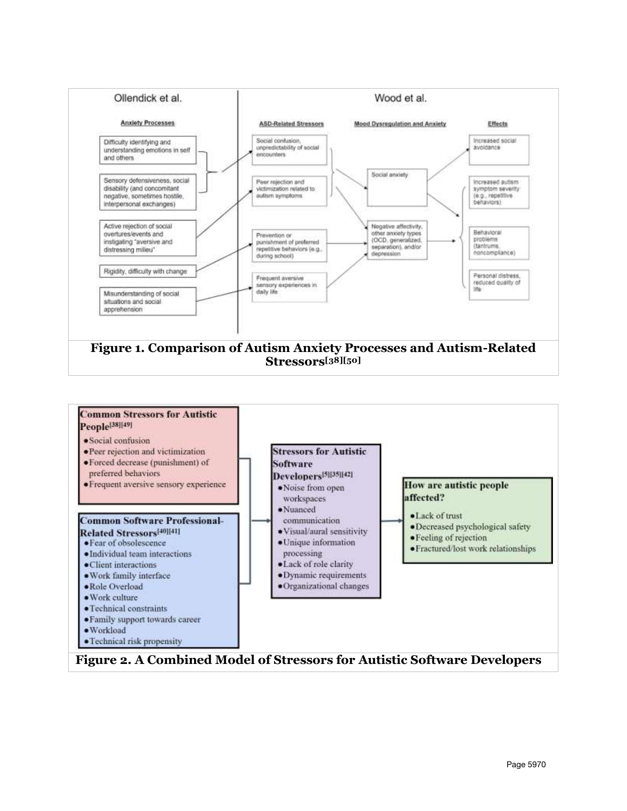